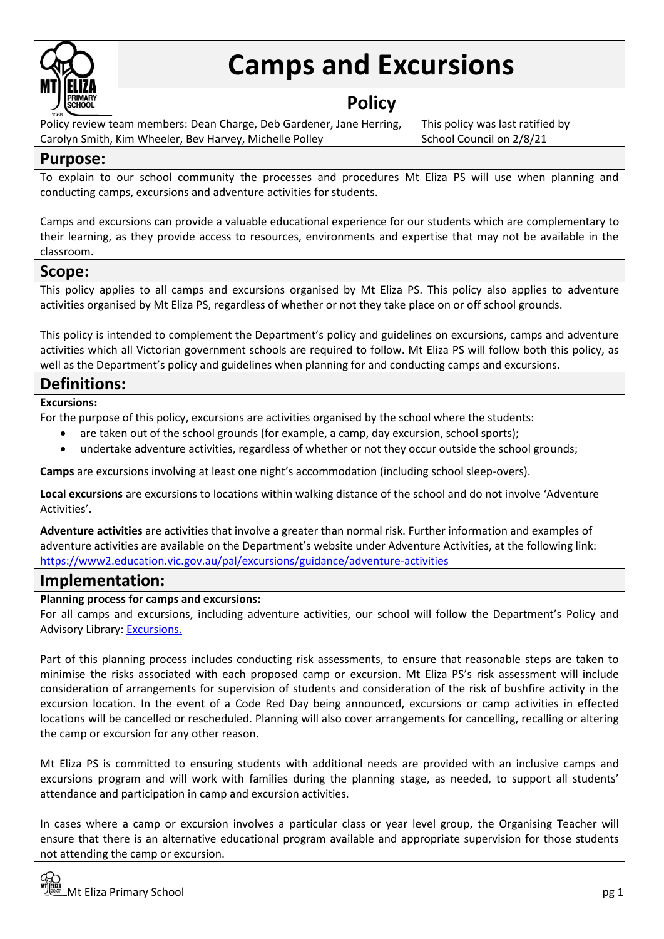

# **Camps and Excursions**

## **Policy**

Policy review team members: Dean Charge, Deb Gardener, Jane Herring, Carolyn Smith, Kim Wheeler, Bev Harvey, Michelle Polley

This policy was last ratified by School Council on 2/8/21

## **Purpose:**

To explain to our school community the processes and procedures Mt Eliza PS will use when planning and conducting camps, excursions and adventure activities for students.

Camps and excursions can provide a valuable educational experience for our students which are complementary to their learning, as they provide access to resources, environments and expertise that may not be available in the classroom.

## **Scope:**

This policy applies to all camps and excursions organised by Mt Eliza PS. This policy also applies to adventure activities organised by Mt Eliza PS, regardless of whether or not they take place on or off school grounds.

This policy is intended to complement the Department's policy and guidelines on excursions, camps and adventure activities which all Victorian government schools are required to follow. Mt Eliza PS will follow both this policy, as well as the Department's policy and guidelines when planning for and conducting camps and excursions.

## **Definitions:**

**Excursions:** 

For the purpose of this policy, excursions are activities organised by the school where the students:

- are taken out of the school grounds (for example, a camp, day excursion, school sports);
- undertake adventure activities, regardless of whether or not they occur outside the school grounds;

**Camps** are excursions involving at least one night's accommodation (including school sleep-overs).

**Local excursions** are excursions to locations within walking distance of the school and do not involve 'Adventure Activities'.

**Adventure activities** are activities that involve a greater than normal risk. Further information and examples of adventure activities are available on the Department's website under Adventure Activities, at the following link: <https://www2.education.vic.gov.au/pal/excursions/guidance/adventure-activities>

## **Implementation:**

#### **Planning process for camps and excursions:**

For all camps and excursions, including adventure activities, our school will follow the Department's Policy and Advisory Library: [Excursions.](https://www2.education.vic.gov.au/pal/excursions/policy)

Part of this planning process includes conducting risk assessments, to ensure that reasonable steps are taken to minimise the risks associated with each proposed camp or excursion. Mt Eliza PS's risk assessment will include consideration of arrangements for supervision of students and consideration of the risk of bushfire activity in the excursion location. In the event of a Code Red Day being announced, excursions or camp activities in effected locations will be cancelled or rescheduled. Planning will also cover arrangements for cancelling, recalling or altering the camp or excursion for any other reason.

Mt Eliza PS is committed to ensuring students with additional needs are provided with an inclusive camps and excursions program and will work with families during the planning stage, as needed, to support all students' attendance and participation in camp and excursion activities.

In cases where a camp or excursion involves a particular class or year level group, the Organising Teacher will ensure that there is an alternative educational program available and appropriate supervision for those students not attending the camp or excursion.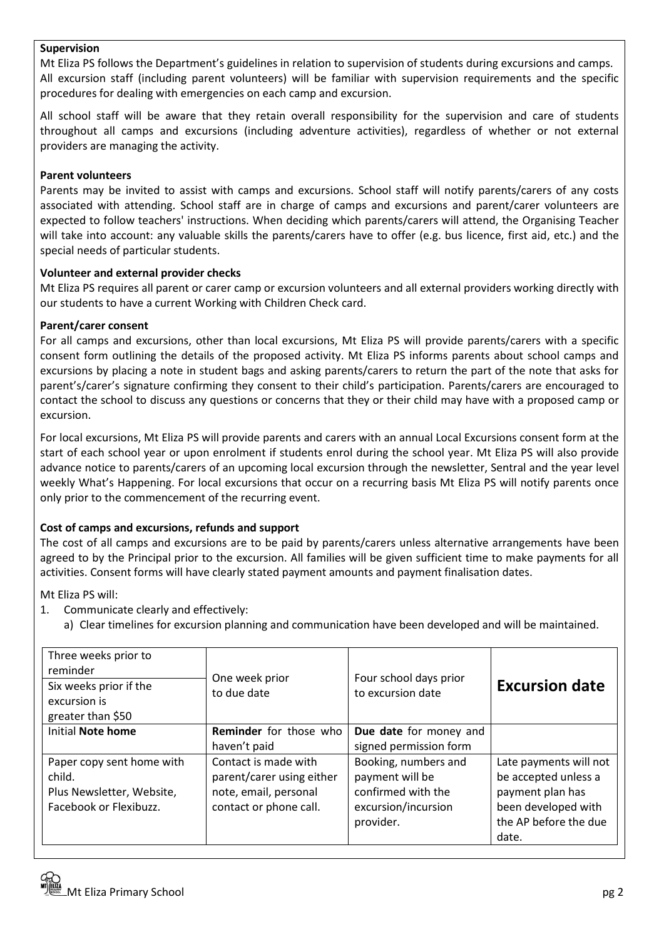#### **Supervision**

Mt Eliza PS follows the Department's guidelines in relation to supervision of students during excursions and camps. All excursion staff (including parent volunteers) will be familiar with supervision requirements and the specific procedures for dealing with emergencies on each camp and excursion.

All school staff will be aware that they retain overall responsibility for the supervision and care of students throughout all camps and excursions (including adventure activities), regardless of whether or not external providers are managing the activity.

#### **Parent volunteers**

Parents may be invited to assist with camps and excursions. School staff will notify parents/carers of any costs associated with attending. School staff are in charge of camps and excursions and parent/carer volunteers are expected to follow teachers' instructions. When deciding which parents/carers will attend, the Organising Teacher will take into account: any valuable skills the parents/carers have to offer (e.g. bus licence, first aid, etc.) and the special needs of particular students.

#### **Volunteer and external provider checks**

Mt Eliza PS requires all parent or carer camp or excursion volunteers and all external providers working directly with our students to have a current Working with Children Check card.

#### **Parent/carer consent**

For all camps and excursions, other than local excursions, Mt Eliza PS will provide parents/carers with a specific consent form outlining the details of the proposed activity. Mt Eliza PS informs parents about school camps and excursions by placing a note in student bags and asking parents/carers to return the part of the note that asks for parent's/carer's signature confirming they consent to their child's participation. Parents/carers are encouraged to contact the school to discuss any questions or concerns that they or their child may have with a proposed camp or excursion.

For local excursions, Mt Eliza PS will provide parents and carers with an annual Local Excursions consent form at the start of each school year or upon enrolment if students enrol during the school year. Mt Eliza PS will also provide advance notice to parents/carers of an upcoming local excursion through the newsletter, Sentral and the year level weekly What's Happening. For local excursions that occur on a recurring basis Mt Eliza PS will notify parents once only prior to the commencement of the recurring event.

#### **Cost of camps and excursions, refunds and support**

The cost of all camps and excursions are to be paid by parents/carers unless alternative arrangements have been agreed to by the Principal prior to the excursion. All families will be given sufficient time to make payments for all activities. Consent forms will have clearly stated payment amounts and payment finalisation dates.

Mt Eliza PS will:

- 1. Communicate clearly and effectively:
	- a) Clear timelines for excursion planning and communication have been developed and will be maintained.

| Three weeks prior to<br>reminder<br>Six weeks prior if the<br>excursion is<br>greater than \$50 | One week prior<br>to due date                                                                        | Four school days prior<br>to excursion date                                                       | <b>Excursion date</b>                                                                                                       |
|-------------------------------------------------------------------------------------------------|------------------------------------------------------------------------------------------------------|---------------------------------------------------------------------------------------------------|-----------------------------------------------------------------------------------------------------------------------------|
| <b>Initial Note home</b>                                                                        | Reminder for those who<br>haven't paid                                                               | Due date for money and<br>signed permission form                                                  |                                                                                                                             |
| Paper copy sent home with<br>child.<br>Plus Newsletter, Website,<br>Facebook or Flexibuzz.      | Contact is made with<br>parent/carer using either<br>note, email, personal<br>contact or phone call. | Booking, numbers and<br>payment will be<br>confirmed with the<br>excursion/incursion<br>provider. | Late payments will not<br>be accepted unless a<br>payment plan has<br>been developed with<br>the AP before the due<br>date. |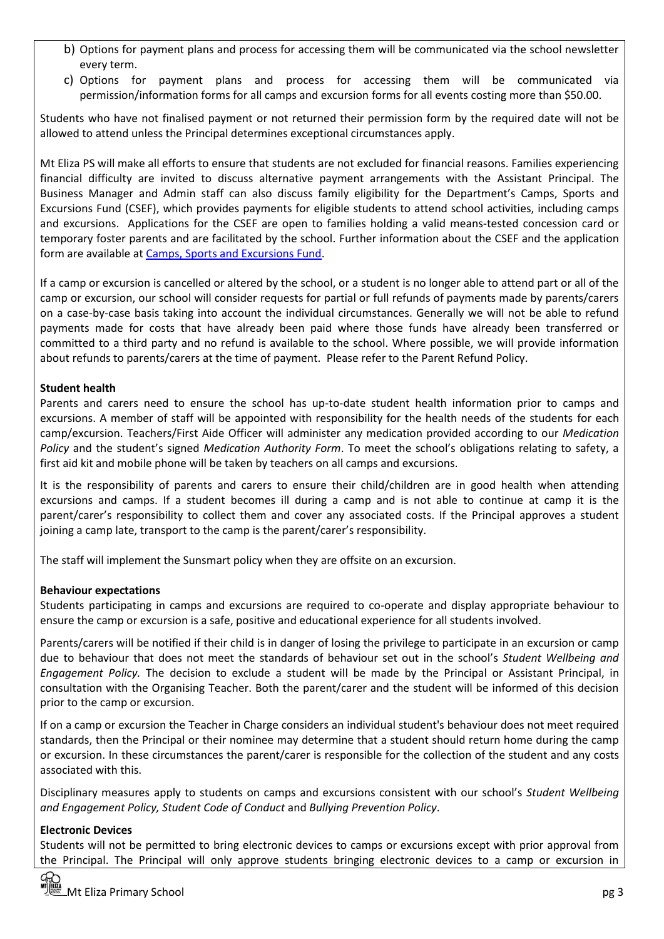- b) Options for payment plans and process for accessing them will be communicated via the school newsletter every term.
- c) Options for payment plans and process for accessing them will be communicated via permission/information forms for all camps and excursion forms for all events costing more than \$50.00.

Students who have not finalised payment or not returned their permission form by the required date will not be allowed to attend unless the Principal determines exceptional circumstances apply.

Mt Eliza PS will make all efforts to ensure that students are not excluded for financial reasons. Families experiencing financial difficulty are invited to discuss alternative payment arrangements with the Assistant Principal. The Business Manager and Admin staff can also discuss family eligibility for the Department's Camps, Sports and Excursions Fund (CSEF), which provides payments for eligible students to attend school activities, including camps and excursions. Applications for the CSEF are open to families holding a valid means-tested concession card or temporary foster parents and are facilitated by the school. Further information about the CSEF and the application form are available at [Camps, Sports and Excursions Fund.](https://www2.education.vic.gov.au/pal/camps-sports-and-excursions-fund/policy)

If a camp or excursion is cancelled or altered by the school, or a student is no longer able to attend part or all of the camp or excursion, our school will consider requests for partial or full refunds of payments made by parents/carers on a case-by-case basis taking into account the individual circumstances. Generally we will not be able to refund payments made for costs that have already been paid where those funds have already been transferred or committed to a third party and no refund is available to the school. Where possible, we will provide information about refunds to parents/carers at the time of payment. Please refer to the Parent Refund Policy.

#### **Student health**

Parents and carers need to ensure the school has up-to-date student health information prior to camps and excursions. A member of staff will be appointed with responsibility for the health needs of the students for each camp/excursion. Teachers/First Aide Officer will administer any medication provided according to our *Medication Policy* and the student's signed *Medication Authority Form*. To meet the school's obligations relating to safety, a first aid kit and mobile phone will be taken by teachers on all camps and excursions.

It is the responsibility of parents and carers to ensure their child/children are in good health when attending excursions and camps. If a student becomes ill during a camp and is not able to continue at camp it is the parent/carer's responsibility to collect them and cover any associated costs. If the Principal approves a student joining a camp late, transport to the camp is the parent/carer's responsibility.

The staff will implement the Sunsmart policy when they are offsite on an excursion.

#### **Behaviour expectations**

Students participating in camps and excursions are required to co-operate and display appropriate behaviour to ensure the camp or excursion is a safe, positive and educational experience for all students involved.

Parents/carers will be notified if their child is in danger of losing the privilege to participate in an excursion or camp due to behaviour that does not meet the standards of behaviour set out in the school's *Student Wellbeing and Engagement Policy.* The decision to exclude a student will be made by the Principal or Assistant Principal, in consultation with the Organising Teacher. Both the parent/carer and the student will be informed of this decision prior to the camp or excursion.

If on a camp or excursion the Teacher in Charge considers an individual student's behaviour does not meet required standards, then the Principal or their nominee may determine that a student should return home during the camp or excursion. In these circumstances the parent/carer is responsible for the collection of the student and any costs associated with this.

Disciplinary measures apply to students on camps and excursions consistent with our school's *Student Wellbeing and Engagement Policy, Student Code of Conduct* and *Bullying Prevention Policy*.

#### **Electronic Devices**

Students will not be permitted to bring electronic devices to camps or excursions except with prior approval from the Principal. The Principal will only approve students bringing electronic devices to a camp or excursion in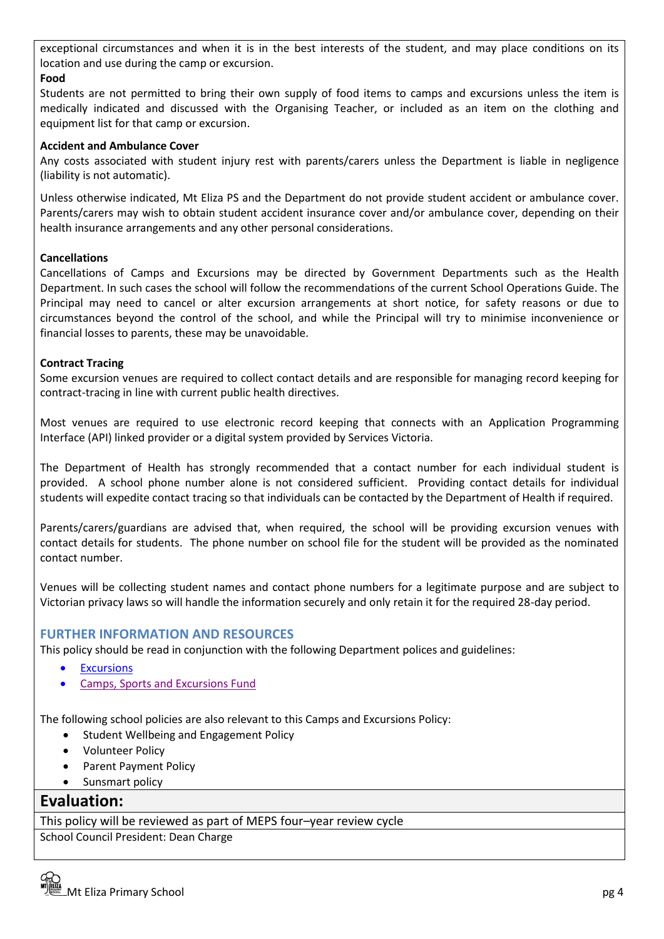exceptional circumstances and when it is in the best interests of the student, and may place conditions on its location and use during the camp or excursion.

#### **Food**

Students are not permitted to bring their own supply of food items to camps and excursions unless the item is medically indicated and discussed with the Organising Teacher, or included as an item on the clothing and equipment list for that camp or excursion.

#### **Accident and Ambulance Cover**

Any costs associated with student injury rest with parents/carers unless the Department is liable in negligence (liability is not automatic).

Unless otherwise indicated, Mt Eliza PS and the Department do not provide student accident or ambulance cover. Parents/carers may wish to obtain student accident insurance cover and/or ambulance cover, depending on their health insurance arrangements and any other personal considerations.

#### **Cancellations**

Cancellations of Camps and Excursions may be directed by Government Departments such as the Health Department. In such cases the school will follow the recommendations of the current School Operations Guide. The Principal may need to cancel or alter excursion arrangements at short notice, for safety reasons or due to circumstances beyond the control of the school, and while the Principal will try to minimise inconvenience or financial losses to parents, these may be unavoidable.

#### **Contract Tracing**

Some excursion venues are required to collect contact details and are responsible for managing record keeping for contract-tracing in line with current public health directives.

Most venues are required to use electronic record keeping that connects with an Application Programming Interface (API) linked provider or a digital system provided by Services Victoria.

The Department of Health has strongly recommended that a contact number for each individual student is provided. A school phone number alone is not considered sufficient. Providing contact details for individual students will expedite contact tracing so that individuals can be contacted by the Department of Health if required.

Parents/carers/guardians are advised that, when required, the school will be providing excursion venues with contact details for students. The phone number on school file for the student will be provided as the nominated contact number.

Venues will be collecting student names and contact phone numbers for a legitimate purpose and are subject to Victorian privacy laws so will handle the information securely and only retain it for the required 28-day period.

#### **FURTHER INFORMATION AND RESOURCES**

This policy should be read in conjunction with the following Department polices and guidelines:

- **[Excursions](https://www2.education.vic.gov.au/pal/excursions/policy)**
- [Camps, Sports and Excursions Fund](https://www2.education.vic.gov.au/pal/camps-sports-and-excursions-fund/policy)

The following school policies are also relevant to this Camps and Excursions Policy:

- Student Wellbeing and Engagement Policy
- Volunteer Policy
- Parent Payment Policy
- Sunsmart policy

## **Evaluation:**

This policy will be reviewed as part of MEPS four–year review cycle

School Council President: Dean Charge